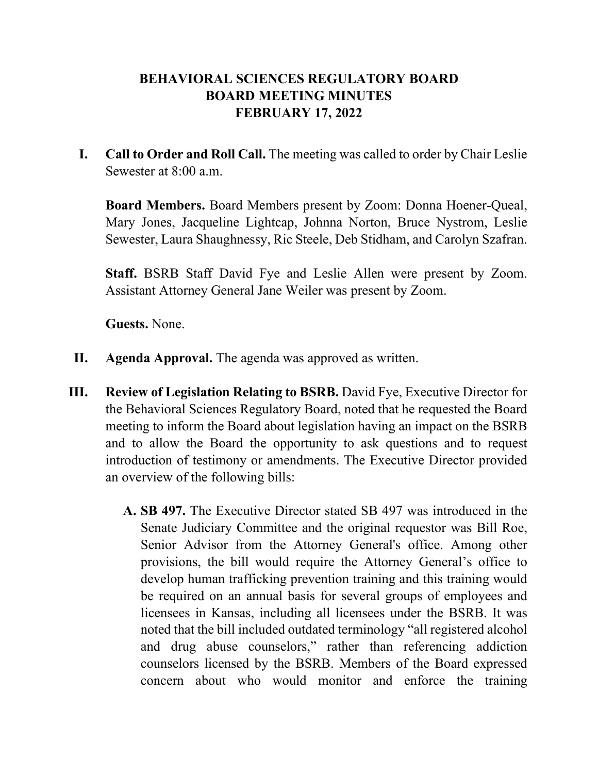## **BEHAVIORAL SCIENCES REGULATORY BOARD BOARD MEETING MINUTES FEBRUARY 17, 2022**

**I. Call to Order and Roll Call.** The meeting was called to order by Chair Leslie Sewester at 8:00 a.m.

**Board Members.** Board Members present by Zoom: Donna Hoener-Queal, Mary Jones, Jacqueline Lightcap, Johnna Norton, Bruce Nystrom, Leslie Sewester, Laura Shaughnessy, Ric Steele, Deb Stidham, and Carolyn Szafran.

**Staff.** BSRB Staff David Fye and Leslie Allen were present by Zoom. Assistant Attorney General Jane Weiler was present by Zoom.

**Guests.** None.

- **II. Agenda Approval.** The agenda was approved as written.
- **III. Review of Legislation Relating to BSRB.** David Fye, Executive Director for the Behavioral Sciences Regulatory Board, noted that he requested the Board meeting to inform the Board about legislation having an impact on the BSRB and to allow the Board the opportunity to ask questions and to request introduction of testimony or amendments. The Executive Director provided an overview of the following bills:
	- **A. SB 497.** The Executive Director stated SB 497 was introduced in the Senate Judiciary Committee and the original requestor was Bill Roe, Senior Advisor from the Attorney General's office. Among other provisions, the bill would require the Attorney General's office to develop human trafficking prevention training and this training would be required on an annual basis for several groups of employees and licensees in Kansas, including all licensees under the BSRB. It was noted that the bill included outdated terminology "all registered alcohol and drug abuse counselors," rather than referencing addiction counselors licensed by the BSRB. Members of the Board expressed concern about who would monitor and enforce the training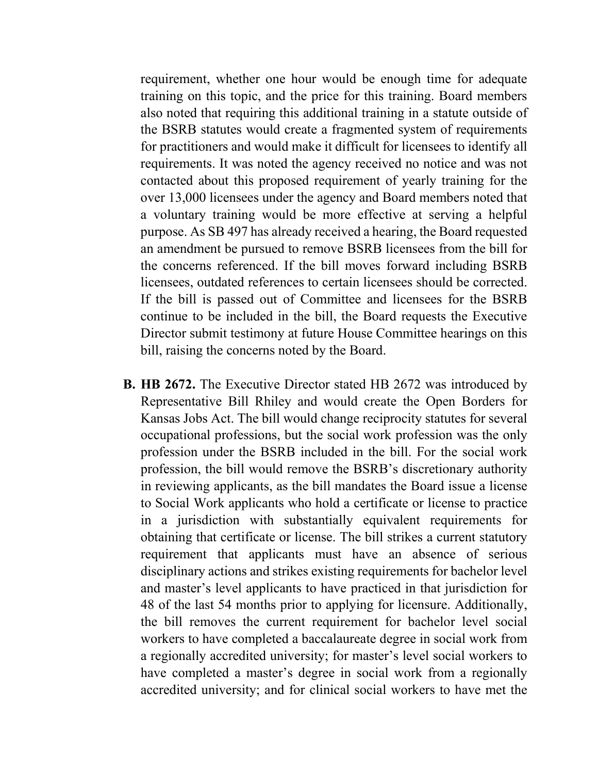requirement, whether one hour would be enough time for adequate training on this topic, and the price for this training. Board members also noted that requiring this additional training in a statute outside of the BSRB statutes would create a fragmented system of requirements for practitioners and would make it difficult for licensees to identify all requirements. It was noted the agency received no notice and was not contacted about this proposed requirement of yearly training for the over 13,000 licensees under the agency and Board members noted that a voluntary training would be more effective at serving a helpful purpose. As SB 497 has already received a hearing, the Board requested an amendment be pursued to remove BSRB licensees from the bill for the concerns referenced. If the bill moves forward including BSRB licensees, outdated references to certain licensees should be corrected. If the bill is passed out of Committee and licensees for the BSRB continue to be included in the bill, the Board requests the Executive Director submit testimony at future House Committee hearings on this bill, raising the concerns noted by the Board.

**B. HB 2672.** The Executive Director stated HB 2672 was introduced by Representative Bill Rhiley and would create the Open Borders for Kansas Jobs Act. The bill would change reciprocity statutes for several occupational professions, but the social work profession was the only profession under the BSRB included in the bill. For the social work profession, the bill would remove the BSRB's discretionary authority in reviewing applicants, as the bill mandates the Board issue a license to Social Work applicants who hold a certificate or license to practice in a jurisdiction with substantially equivalent requirements for obtaining that certificate or license. The bill strikes a current statutory requirement that applicants must have an absence of serious disciplinary actions and strikes existing requirements for bachelor level and master's level applicants to have practiced in that jurisdiction for 48 of the last 54 months prior to applying for licensure. Additionally, the bill removes the current requirement for bachelor level social workers to have completed a baccalaureate degree in social work from a regionally accredited university; for master's level social workers to have completed a master's degree in social work from a regionally accredited university; and for clinical social workers to have met the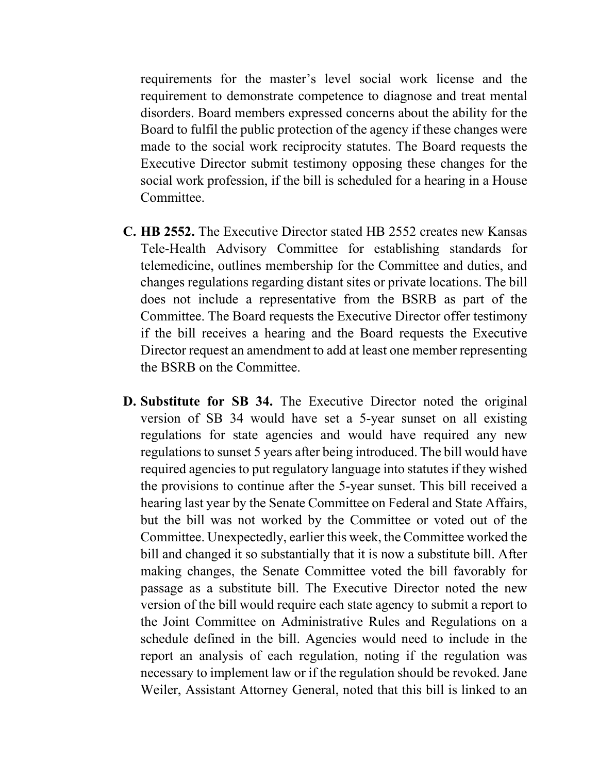requirements for the master's level social work license and the requirement to demonstrate competence to diagnose and treat mental disorders. Board members expressed concerns about the ability for the Board to fulfil the public protection of the agency if these changes were made to the social work reciprocity statutes. The Board requests the Executive Director submit testimony opposing these changes for the social work profession, if the bill is scheduled for a hearing in a House Committee.

- **C. HB 2552.** The Executive Director stated HB 2552 creates new Kansas Tele-Health Advisory Committee for establishing standards for telemedicine, outlines membership for the Committee and duties, and changes regulations regarding distant sites or private locations. The bill does not include a representative from the BSRB as part of the Committee. The Board requests the Executive Director offer testimony if the bill receives a hearing and the Board requests the Executive Director request an amendment to add at least one member representing the BSRB on the Committee.
- **D. Substitute for SB 34.** The Executive Director noted the original version of SB 34 would have set a 5-year sunset on all existing regulations for state agencies and would have required any new regulations to sunset 5 years after being introduced. The bill would have required agencies to put regulatory language into statutes if they wished the provisions to continue after the 5-year sunset. This bill received a hearing last year by the Senate Committee on Federal and State Affairs, but the bill was not worked by the Committee or voted out of the Committee. Unexpectedly, earlier this week, the Committee worked the bill and changed it so substantially that it is now a substitute bill. After making changes, the Senate Committee voted the bill favorably for passage as a substitute bill. The Executive Director noted the new version of the bill would require each state agency to submit a report to the Joint Committee on Administrative Rules and Regulations on a schedule defined in the bill. Agencies would need to include in the report an analysis of each regulation, noting if the regulation was necessary to implement law or if the regulation should be revoked. Jane Weiler, Assistant Attorney General, noted that this bill is linked to an